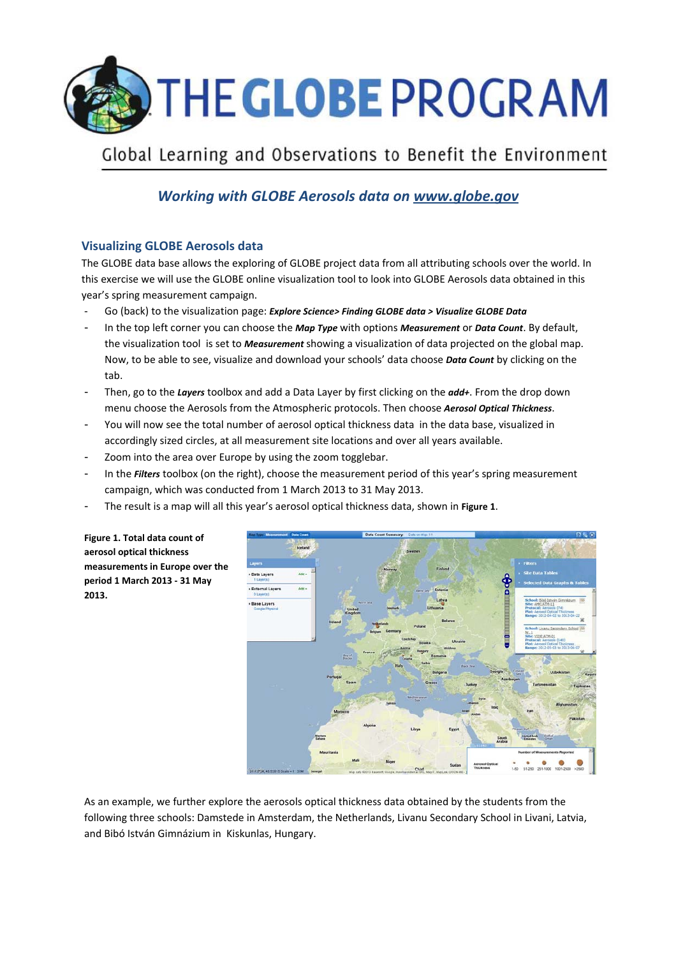

## Global Learning and Observations to Benefit the Environment

## *Working with GLOBE Aerosols data on www.globe.gov*

## **Visualizing GLOBE Aerosols data**

The GLOBE data base allows the exploring of GLOBE project data from all attributing schools over the world. In this exercise we will use the GLOBE online visualization tool to look into GLOBE Aerosols data obtained in this year's spring measurement campaign.

- Go (back) to the visualization page: *Explore Science> Finding GLOBE data > Visualize GLOBE Data*
- In the top left corner you can choose the *Map Type* with options *Measurement* or *Data Count*. By default, the visualization tool is set to *Measurement* showing a visualization of data projected on the global map. Now, to be able to see, visualize and download your schools' data choose *Data Count* by clicking on the tab.
- Then, go to the *Layers* toolbox and add a Data Layer by first clicking on the *add+*. From the drop down menu choose the Aerosols from the Atmospheric protocols. Then choose *Aerosol Optical Thickness*.
- You will now see the total number of aerosol optical thickness data in the data base, visualized in accordingly sized circles, at all measurement site locations and over all years available.
- Zoom into the area over Europe by using the zoom togglebar.
- In the *Filters* toolbox (on the right), choose the measurement period of this year's spring measurement campaign, which was conducted from 1 March 2013 to 31 May 2013.
- The result is a map will all this year's aerosol optical thickness data, shown in **Figure 1**.



**Figure 1. Total data count of aerosol optical thickness measurements in Europe over the period 1 March 2013 - 31 May 2013.** 

As an example, we further explore the aerosols optical thickness data obtained by the students from the following three schools: Damstede in Amsterdam, the Netherlands, Livanu Secondary School in Livani, Latvia, and Bibó István Gimnázium in Kiskunlas, Hungary.